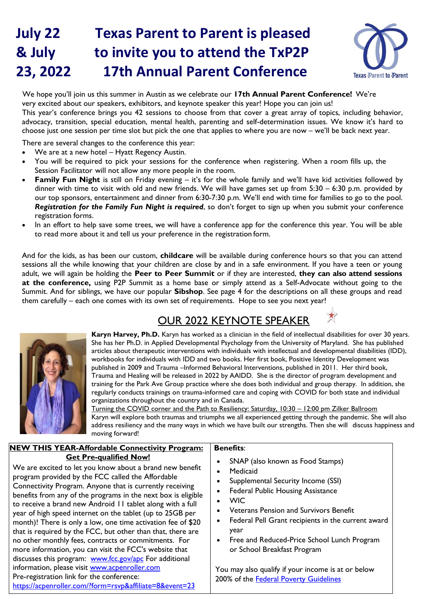# **July 22 Texas Parent to Parent is pleased & July to invite you to attend the TxP2P 23, 2022 17th Annual Parent Conference**



We hope you'll join us this summer in Austin as we celebrate our **17th Annual Parent Conference!** We're very excited about our speakers, exhibitors, and keynote speaker this year! Hope you can join us! This year's conference brings you 42 sessions to choose from that cover a great array of topics, including behavior, advocacy, transition, special education, mental health, parenting and self-determination issues. We know it's hard to choose just one session per time slot but pick the one that applies to where you are now – we'll be back next year.

There are several changes to the conference this year:

- We are at a new hotel Hyatt Regency Austin.
- You will be required to pick your sessions for the conference when registering. When a room fills up, the Session Facilitator will not allow any more people in the room.
- Family Fun Night is still on Friday evening it's for the whole family and we'll have kid activities followed by dinner with time to visit with old and new friends. We will have games set up from 5:30 – 6:30 p.m. provided by our top sponsors, entertainment and dinner from 6:30-7:30 p.m. We'll end with time for families to go to the pool. *Registration for the Family Fun Night is required*, so don't forget to sign up when you submit your conference registration forms.
- In an effort to help save some trees, we will have a conference app for the conference this year. You will be able to read more about it and tell us your preference in the registration form.

And for the kids, as has been our custom, **childcare** will be available during conference hours so that you can attend sessions all the while knowing that your children are close by and in a safe environment. If you have a teen or young adult, we will again be holding the **Peer to Peer Summit** or if they are interested, **they can also attend sessions at the conference,** using P2P Summit as a home base or simply attend as a Self-Advocate without going to the Summit. And for siblings, we have our popular **Sibshop**. See page 4 for the descriptions on all these groups and read them carefully – each one comes with its own set of requirements. Hope to see you next year!

# OUR 2022 KEYNOTE SPEAKER



**Karyn Harvey, Ph.D.** Karyn has worked as a clinician in the field of intellectual disabilities for over 30 years. She has her Ph.D. in Applied Developmental Psychology from the University of Maryland. She has published articles about therapeutic interventions with individuals with intellectual and developmental disabilities (IDD), workbooks for individuals with IDD and two books. Her first book, Positive Identity Development was published in 2009 and Trauma –Informed Behavioral Interventions, published in 2011. Her third book, Trauma and Healing will be released in 2022 by AAIDD. She is the director of program development and training for the Park Ave Group practice where she does both individual and group therapy. In addition, she regularly conducts trainings on trauma-informed care and coping with COVID for both state and individual organizations throughout the country and in Canada.

Turning the COVID corner and the Path to Resiliency: Saturday, 10:30 – 12:00 pm Zilker Ballroom Karyn will explore both traumas and triumphs we all experienced getting through the pandemic. She will also address resiliency and the many ways in which we have built our strengths. Then she will discuss happiness and moving forward!

#### **NEW THIS YEAR-Affordable Connectivity Program: Get Pre-qualified Now! Benefits**:

We are excited to let you know about a brand new benefit program provided by the FCC called the Affordable Connectivity Program. Anyone that is currently receiving benefits from any of the programs in the next box is eligible to receive a brand new Android 11 tablet along with a full year of high speed internet on the tablet (up to 25GB per month)! There is only a low, one time activation fee of \$20 that is required by the FCC, but other than that, there are no other monthly fees, contracts or commitments. For more information, you can visit the FCC's website that discusses this program: [www.fcc.gov/apc](http://www.fcc.gov/apc) For additional information, please visit [www.acpenroller.com](http://www.acpenroller.com/) Pre-registration link for the conference: <https://acpenroller.com/?form=rsvp&affiliate=8&event=23>

# • SNAP (also known as Food Stamps)

- **Medicaid**
- Supplemental Security Income (SSI)
- Federal Public Housing Assistance
- WIC
- Veterans Pension and Survivors Benefit
- Federal Pell Grant recipients in the current award year
- Free and Reduced-Price School Lunch Program or School Breakfast Program

You may also qualify if your income is at or below 200% of the [Federal Poverty Guidelines](https://www.healthcare.gov/glossary/federal-poverty-level-fpl/)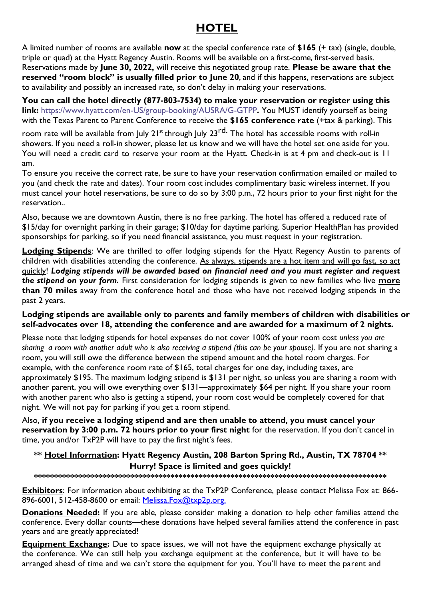# **HOTEL**

A limited number of rooms are available **now** at the special conference rate of **\$165** (+ tax) (single, double, triple or quad) at the Hyatt Regency Austin. Rooms will be available on a first-come, first-served basis. Reservations made by **June 30, 2022,** will receive this negotiated group rate. **Please be aware that the reserved "room block" is usually filled prior to June 20**, and if this happens, reservations are subject to availability and possibly an increased rate, so don't delay in making your reservations.

**You can call the hotel directly (877-803-7534) to make your reservation or register using this link:** [https://www.hyatt.com/en-US/group-booking/AUSRA/G-GTPP](https://links.t1.hyatt.com/els/v2/wdZYCadW-hq/cjNsT3ZpMVlWUm1MeUswcGllakhBT0haQnlDMUQySGlXUW1SUFlDVENaUkJhcjhrelhHVnVqQmlldGxRNjc2T1VObjVDTEh6OHpVWVhMcC84aUxIMVNSOStDMjhhQzA2MlAyTGp2YS9nemM9S0/OGhtZ1hhTDZFTTZycGw4Z016dnRIaVVzWGEvM0Z3RDJjZU1DMThUajMzNWNxaFR0OVEwWDlWWWNnQmhEekVnb3ZXZEJOSm9PajJ1TitVcFdjaDZONFpTZjRwL21KZCtnVE5waFl5Y1F0SzNGWnRQQitCSFVCaUhLU1hRWVljQ0JtQ0lHSXRjQ1lLT1JjcS80RmFKSmZ3d3hFV2xMQSthb3Bobk9RZU9FL1ltNVF0dDIzUWltMWp5MUl4M2laMk84cUZCZmp3YmZpUzJJclpyYUdKUU9wMHJZdUlLMnZremNObUtQZHhPMEsrVFFUYzVLcGRXRUZ3PT0S1)**.** You MUST identify yourself as being with the Texas Parent to Parent Conference to receive the **\$165 conference rate** (+tax & parking). This room rate will be available from July 21<sup>st</sup> through July 23<sup>rd.</sup> The hotel has accessible rooms with roll-in showers. If you need a roll-in shower, please let us know and we will have the hotel set one aside for you. You will need a credit card to reserve your room at the Hyatt. Check-in is at 4 pm and check-out is 11 am.

To ensure you receive the correct rate, be sure to have your reservation confirmation emailed or mailed to you (and check the rate and dates). Your room cost includes complimentary basic wireless internet. If you must cancel your hotel reservations, be sure to do so by 3:00 p.m., 72 hours prior to your first night for the reservation..

Also, because we are downtown Austin, there is no free parking. The hotel has offered a reduced rate of \$15/day for overnight parking in their garage; \$10/day for daytime parking. Superior HealthPlan has provided sponsorships for parking, so if you need financial assistance, you must request in your registration.

**Lodging Stipends**: We are thrilled to offer lodging stipends for the Hyatt Regency Austin to parents of children with disabilities attending the conference. As always, stipends are a hot item and will go fast, so act quickly! *Lodging stipends will be awarded based on financial need and you must register and request the stipend on your form.* First consideration for lodging stipends is given to new families who live **more than 70 miles** away from the conference hotel and those who have not received lodging stipends in the past 2 years.

#### **Lodging stipends are available only to parents and family members of children with disabilities or self-advocates over 18, attending the conference and are awarded for a maximum of 2 nights.**

Please note that lodging stipends for hotel expenses do not cover 100% of your room cost *unless you are sharing a room with another adult who is also receiving a stipend (this can be your spouse).* If you are not sharing a room, you will still owe the difference between the stipend amount and the hotel room charges. For example, with the conference room rate of \$165, total charges for one day, including taxes, are approximately \$195. The maximum lodging stipend is \$131 per night, so unless you are sharing a room with another parent, you will owe everything over \$131—approximately \$64 per night. If you share your room with another parent who also is getting a stipend, your room cost would be completely covered for that night. We will not pay for parking if you get a room stipend.

Also, **if you receive a lodging stipend and are then unable to attend, you must cancel your reservation by 3:00 p.m. 72 hours prior to your first night** for the reservation. If you don't cancel in time, you and/or TxP2P will have to pay the first night's fees.

#### **\*\* Hotel Information: Hyatt Regency Austin, 208 Barton Spring Rd., Austin, TX 78704 \*\* Hurry! Space is limited and goes quickly!**

#### **\*\*\*\*\*\*\*\*\*\*\*\*\*\*\*\*\*\*\*\*\*\*\*\*\*\*\*\*\*\*\*\*\*\*\*\*\*\*\*\*\*\*\*\*\*\*\*\*\*\*\*\*\*\*\*\*\*\*\*\*\*\*\*\*\*\*\*\*\*\*\*\*\*\*\*\*\*\*\*\*\*\*\*\*\*\*\*\***

**Exhibitors**: For information about exhibiting at the TxP2P Conference, please contact Melissa Fox at: 866- 896-6001, 512-458-8600 or email: [Melissa.Fox@txp2p.org.](mailto:debbie@txp2p.org)

**Donations Needed:** If you are able, please consider making a donation to help other families attend the conference. Every dollar counts—these donations have helped several families attend the conference in past years and are greatly appreciated!

**Equipment Exchange:** Due to space issues, we will not have the equipment exchange physically at the conference. We can still help you exchange equipment at the conference, but it will have to be arranged ahead of time and we can't store the equipment for you. You'll have to meet the parent and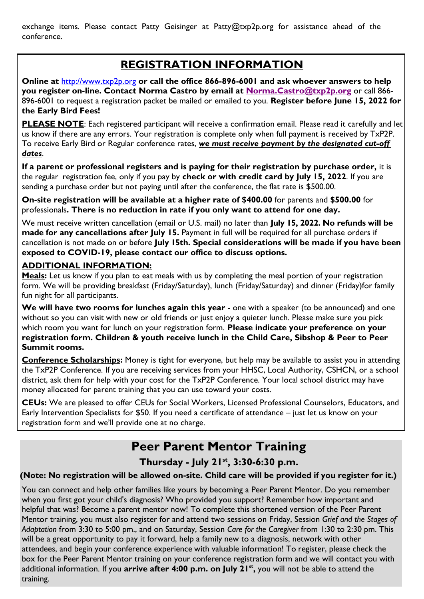exchange items. Please contact Patty Geisinger at [Patty@txp2p.org f](mailto:Patty@txp2p.org)or assistance ahead of the conference.

# **REGISTRATION INFORMATION**

**Online at** [http://www.txp2p.org](http://www.txp2p.org/training/conference.html) **or call the office 866-896-6001 and ask whoever answers to help you register on-line. Contact Norma Castro by email at [Norma.Castro@txp2p.org](mailto:Norma.Castro@txp2p.org)** or call 866- 896-6001 to request a registration packet be mailed or emailed to you. **Register before June 15, 2022 for the Early Bird Fees!**

**PLEASE NOTE:** Each registered participant will receive a confirmation email. Please read it carefully and let us know if there are any errors. Your registration is complete only when full payment is received by TxP2P. To receive Early Bird or Regular conference rates, *we must receive payment by the designated cut-off dates*.

**If a parent or professional registers and is paying for their registration by purchase order,** it is the regular registration fee, only if you pay by **check or with credit card by July 15, 2022**. If you are sending a purchase order but not paying until after the conference, the flat rate is \$500.00.

**On-site registration will be available at a higher rate of \$400.00** for parents and **\$500.00** for professionals**. There is no reduction in rate if you only want to attend for one day.**

We must receive written cancellation (email or U.S. mail) no later than **July 15, 2022. No refunds will be made for any cancellations after July 15.** Payment in full will be required for all purchase orders if cancellation is not made on or before **July 15th. Special considerations will be made if you have been exposed to COVID-19, please contact our office to discuss options.** 

#### **ADDITIONAL INFORMATION:**

Meals: Let us know if you plan to eat meals with us by completing the meal portion of your registration form. We will be providing breakfast (Friday/Saturday), lunch (Friday/Saturday) and dinner (Friday)for family fun night for all participants.

We will have two rooms for lunches again this year - one with a speaker (to be announced) and one without so you can visit with new or old friends or just enjoy a quieter lunch. Please make sure you pick which room you want for lunch on your registration form. **Please indicate your preference on your registration form. Children & youth receive lunch in the Child Care, Sibshop & Peer to Peer Summit rooms.**

**Conference Scholarships:** Money is tight for everyone, but help may be available to assist you in attending the TxP2P Conference. If you are receiving services from your HHSC, Local Authority, CSHCN, or a school district, ask them for help with your cost for the TxP2P Conference. Your local school district may have money allocated for parent training that you can use toward your costs.

**CEUs:** We are pleased to offer CEUs for Social Workers, Licensed Professional Counselors, Educators, and Early Intervention Specialists for \$50. If you need a certificate of attendance – just let us know on your registration form and we'll provide one at no charge.

# **Peer Parent Mentor Training**

#### **Thursday - July 21st , 3:30-6:30 p.m.**

#### **(Note: No registration will be allowed on-site. Child care will be provided if you register for it.)**

You can connect and help other families like yours by becoming a Peer Parent Mentor. Do you remember when you first got your child's diagnosis? Who provided you support? Remember how important and helpful that was? Become a parent mentor now! To complete this shortened version of the Peer Parent Mentor training, you must also register for and attend two sessions on Friday, Session *Grief and the Stages of Adaptation* from 3:30 to 5:00 pm., and on Saturday, Session *Care for the Caregiver* from 1:30 to 2:30 pm. This will be a great opportunity to pay it forward, help a family new to a diagnosis, network with other attendees, and begin your conference experience with valuable information! To register, please check the box for the Peer Parent Mentor training on your conference registration form and we will contact you with additional information. If you **arrive after 4:00 p.m. on July 21 st ,** you will not be able to attend the training.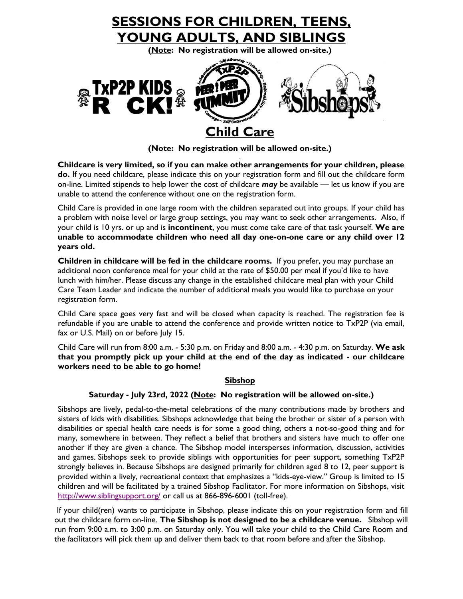

**(Note: No registration will be allowed on-site.)**

**Childcare is very limited, so if you can make other arrangements for your children, please do.** If you need childcare, please indicate this on your registration form and fill out the childcare form on-line. Limited stipends to help lower the cost of childcare *may* be available — let us know if you are unable to attend the conference without one on the registration form.

Child Care is provided in one large room with the children separated out into groups. If your child has a problem with noise level or large group settings, you may want to seek other arrangements. Also, if your child is 10 yrs. or up and is **incontinent**, you must come take care of that task yourself. **We are unable to accommodate children who need all day one-on-one care or any child over 12 years old.**

**Children in childcare will be fed in the childcare rooms.** If you prefer, you may purchase an additional noon conference meal for your child at the rate of \$50.00 per meal if you'd like to have lunch with him/her. Please discuss any change in the established childcare meal plan with your Child Care Team Leader and indicate the number of additional meals you would like to purchase on your registration form.

Child Care space goes very fast and will be closed when capacity is reached. The registration fee is refundable if you are unable to attend the conference and provide written notice to TxP2P (via email, fax or U.S. Mail) on or before July 15.

Child Care will run from 8:00 a.m. - 5:30 p.m. on Friday and 8:00 a.m. - 4:30 p.m. on Saturday. **We ask that you promptly pick up your child at the end of the day as indicated - our childcare workers need to be able to go home!**

#### **Sibshop**

#### **Saturday - July 23rd, 2022 (Note: No registration will be allowed on-site.)**

Sibshops are lively, pedal-to-the-metal celebrations of the many contributions made by brothers and sisters of kids with disabilities. Sibshops acknowledge that being the brother or sister of a person with disabilities or special health care needs is for some a good thing, others a not-so-good thing and for many, somewhere in between. They reflect a belief that brothers and sisters have much to offer one another if they are given a chance. The Sibshop model intersperses information, discussion, activities and games. Sibshops seek to provide siblings with opportunities for peer support, something TxP2P strongly believes in. Because Sibshops are designed primarily for children aged 8 to 12, peer support is provided within a lively, recreational context that emphasizes a "kids-eye-view." Group is limited to 15 children and will be facilitated by a trained Sibshop Facilitator. For more information on Sibshops, visit <http://www.siblingsupport.org/> or call us at 866-896-6001 (toll-free).

If your child(ren) wants to participate in Sibshop, please indicate this on your registration form and fill out the childcare form on-line. **The Sibshop is not designed to be a childcare venue.** Sibshop will run from 9:00 a.m. to 3:00 p.m. on Saturday only. You will take your child to the Child Care Room and the facilitators will pick them up and deliver them back to that room before and after the Sibshop.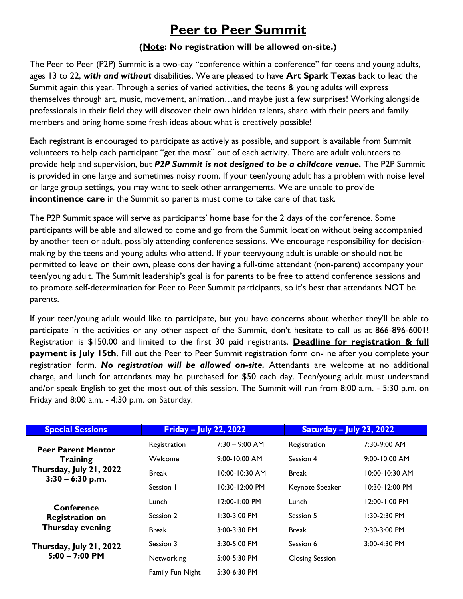# **Peer to Peer Summit**

#### **(Note: No registration will be allowed on-site.)**

The Peer to Peer (P2P) Summit is a two-day "conference within a conference" for teens and young adults, ages 13 to 22, *with and without* disabilities. We are pleased to have **Art Spark Texas** back to lead the Summit again this year. Through a series of varied activities, the teens & young adults will express themselves through art, music, movement, animation…and maybe just a few surprises! Working alongside professionals in their field they will discover their own hidden talents, share with their peers and family members and bring home some fresh ideas about what is creatively possible!

Each registrant is encouraged to participate as actively as possible, and support is available from Summit volunteers to help each participant "get the most" out of each activity. There are adult volunteers to provide help and supervision, but *P2P Summit is not designed to be a childcare venue.* The P2P Summit is provided in one large and sometimes noisy room. If your teen/young adult has a problem with noise level or large group settings, you may want to seek other arrangements. We are unable to provide **incontinence care** in the Summit so parents must come to take care of that task.

The P2P Summit space will serve as participants' home base for the 2 days of the conference. Some participants will be able and allowed to come and go from the Summit location without being accompanied by another teen or adult, possibly attending conference sessions. We encourage responsibility for decisionmaking by the teens and young adults who attend. If your teen/young adult is unable or should not be permitted to leave on their own, please consider having a full-time attendant (non-parent) accompany your teen/young adult. The Summit leadership's goal is for parents to be free to attend conference sessions and to promote self-determination for Peer to Peer Summit participants, so it's best that attendants NOT be parents.

If your teen/young adult would like to participate, but you have concerns about whether they'll be able to participate in the activities or any other aspect of the Summit, don't hesitate to call us at 866-896-6001! Registration is \$150.00 and limited to the first 30 paid registrants. **Deadline for registration & full payment is July 15th.** Fill out the Peer to Peer Summit registration form on-line after you complete your registration form. *No registration will be allowed on-site.* Attendants are welcome at no additional charge, and lunch for attendants may be purchased for \$50 each day. Teen/young adult must understand and/or speak English to get the most out of this session. The Summit will run from 8:00 a.m. - 5:30 p.m. on Friday and 8:00 a.m. - 4:30 p.m. on Saturday.

| <b>Special Sessions</b>                       | <b>Friday – July 22, 2022</b> |                    | <b>Saturday – July 23, 2022</b> |                    |
|-----------------------------------------------|-------------------------------|--------------------|---------------------------------|--------------------|
| <b>Peer Parent Mentor</b>                     | Registration                  | $7:30 - 9:00$ AM   | Registration                    | $7:30-9:00$ AM     |
| <b>Training</b>                               | Welcome                       | $9:00 - 10:00$ AM  | Session 4                       | $9:00 - 10:00$ AM  |
| Thursday, July 21, 2022<br>$3:30 - 6:30$ p.m. | <b>Break</b>                  | $10:00 - 10:30$ AM | <b>Break</b>                    | $10:00 - 10:30$ AM |
|                                               | Session 1                     | $10:30 - 12:00$ PM | Keynote Speaker                 | $10:30 - 12:00$ PM |
| Conference                                    | Lunch                         | $12:00 - 1:00$ PM  | Lunch                           | 12:00-1:00 PM      |
| <b>Registration on</b>                        | Session 2                     | $1:30-3:00$ PM     | Session 5                       | $1:30-2:30$ PM     |
| Thursday evening                              | <b>Break</b>                  | $3:00 - 3:30$ PM   | <b>Break</b>                    | $2:30-3:00$ PM     |
| Thursday, July 21, 2022                       | Session 3                     | $3:30 - 5:00$ PM   | Session 6                       | 3:00-4:30 PM       |
| $5:00 - 7:00$ PM                              | Networking                    | 5:00-5:30 PM       | <b>Closing Session</b>          |                    |
|                                               | Family Fun Night              | $5:30-6:30$ PM     |                                 |                    |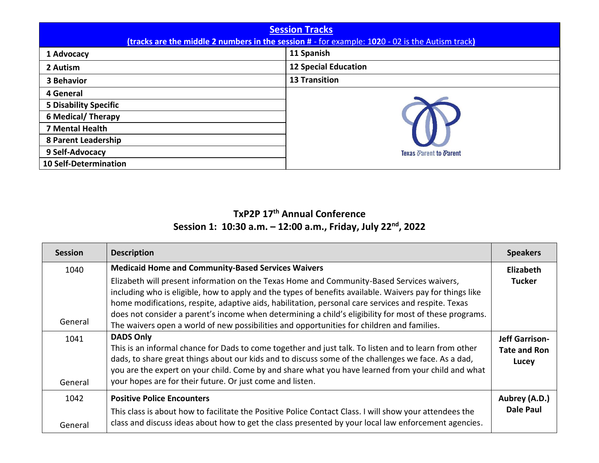| <b>Session Tracks</b><br>(tracks are the middle 2 numbers in the session # - for example: 1020 - 02 is the Autism track) |                               |  |
|--------------------------------------------------------------------------------------------------------------------------|-------------------------------|--|
| 1 Advocacy                                                                                                               | 11 Spanish                    |  |
| 2 Autism                                                                                                                 | <b>12 Special Education</b>   |  |
| <b>3 Behavior</b>                                                                                                        | <b>13 Transition</b>          |  |
| 4 General                                                                                                                |                               |  |
| <b>5 Disability Specific</b>                                                                                             |                               |  |
| <b>6 Medical/ Therapy</b>                                                                                                |                               |  |
| 7 Mental Health                                                                                                          |                               |  |
| 8 Parent Leadership                                                                                                      |                               |  |
| 9 Self-Advocacy                                                                                                          | <b>Texas Parent to Parent</b> |  |
| <b>10 Self-Determination</b>                                                                                             |                               |  |

#### **TxP2P 17 th Annual Conference Session 1: 10:30 a.m. – 12:00 a.m., Friday, July 22 nd , 2022**

| <b>Session</b>  | <b>Description</b>                                                                                                                                                                                                                                                                                                                                                                                                                                                                                                    | <b>Speakers</b>                                       |
|-----------------|-----------------------------------------------------------------------------------------------------------------------------------------------------------------------------------------------------------------------------------------------------------------------------------------------------------------------------------------------------------------------------------------------------------------------------------------------------------------------------------------------------------------------|-------------------------------------------------------|
| 1040            | <b>Medicaid Home and Community-Based Services Waivers</b>                                                                                                                                                                                                                                                                                                                                                                                                                                                             | Elizabeth                                             |
| General         | Elizabeth will present information on the Texas Home and Community-Based Services waivers,<br>including who is eligible, how to apply and the types of benefits available. Waivers pay for things like<br>home modifications, respite, adaptive aids, habilitation, personal care services and respite. Texas<br>does not consider a parent's income when determining a child's eligibility for most of these programs.<br>The waivers open a world of new possibilities and opportunities for children and families. | <b>Tucker</b>                                         |
| 1041<br>General | <b>DADS Only</b><br>This is an informal chance for Dads to come together and just talk. To listen and to learn from other<br>dads, to share great things about our kids and to discuss some of the challenges we face. As a dad,<br>you are the expert on your child. Come by and share what you have learned from your child and what<br>your hopes are for their future. Or just come and listen.                                                                                                                   | <b>Jeff Garrison-</b><br><b>Tate and Ron</b><br>Lucey |
| 1042<br>General | <b>Positive Police Encounters</b><br>This class is about how to facilitate the Positive Police Contact Class. I will show your attendees the<br>class and discuss ideas about how to get the class presented by your local law enforcement agencies.                                                                                                                                                                                                                                                                  | Aubrey (A.D.)<br><b>Dale Paul</b>                     |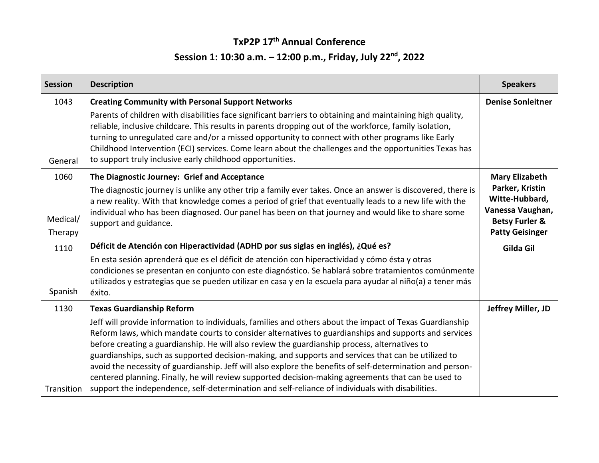### **TxP2P 17 th Annual Conference Session 1: 10:30 a.m. – 12:00 p.m., Friday, July 22 nd , 2022**

| <b>Session</b>      | <b>Description</b>                                                                                                                                                                                                                                                                                                                                                                                                                                                                                                                                                                                                                                                                                                                                 | <b>Speakers</b>                                                                                              |
|---------------------|----------------------------------------------------------------------------------------------------------------------------------------------------------------------------------------------------------------------------------------------------------------------------------------------------------------------------------------------------------------------------------------------------------------------------------------------------------------------------------------------------------------------------------------------------------------------------------------------------------------------------------------------------------------------------------------------------------------------------------------------------|--------------------------------------------------------------------------------------------------------------|
| 1043                | <b>Creating Community with Personal Support Networks</b>                                                                                                                                                                                                                                                                                                                                                                                                                                                                                                                                                                                                                                                                                           | <b>Denise Sonleitner</b>                                                                                     |
| General             | Parents of children with disabilities face significant barriers to obtaining and maintaining high quality,<br>reliable, inclusive childcare. This results in parents dropping out of the workforce, family isolation,<br>turning to unregulated care and/or a missed opportunity to connect with other programs like Early<br>Childhood Intervention (ECI) services. Come learn about the challenges and the opportunities Texas has<br>to support truly inclusive early childhood opportunities.                                                                                                                                                                                                                                                  |                                                                                                              |
| 1060                | The Diagnostic Journey: Grief and Acceptance                                                                                                                                                                                                                                                                                                                                                                                                                                                                                                                                                                                                                                                                                                       | <b>Mary Elizabeth</b>                                                                                        |
| Medical/<br>Therapy | The diagnostic journey is unlike any other trip a family ever takes. Once an answer is discovered, there is<br>a new reality. With that knowledge comes a period of grief that eventually leads to a new life with the<br>individual who has been diagnosed. Our panel has been on that journey and would like to share some<br>support and guidance.                                                                                                                                                                                                                                                                                                                                                                                              | Parker, Kristin<br>Witte-Hubbard,<br>Vanessa Vaughan,<br><b>Betsy Furler &amp;</b><br><b>Patty Geisinger</b> |
| 1110                | Déficit de Atención con Hiperactividad (ADHD por sus siglas en inglés), ¿Qué es?                                                                                                                                                                                                                                                                                                                                                                                                                                                                                                                                                                                                                                                                   | Gilda Gil                                                                                                    |
| Spanish             | En esta sesión aprenderá que es el déficit de atención con hiperactividad y cómo ésta y otras<br>condiciones se presentan en conjunto con este diagnóstico. Se hablará sobre tratamientos comúnmente<br>utilizados y estrategias que se pueden utilizar en casa y en la escuela para ayudar al niño(a) a tener más<br>éxito.                                                                                                                                                                                                                                                                                                                                                                                                                       |                                                                                                              |
| 1130                | <b>Texas Guardianship Reform</b>                                                                                                                                                                                                                                                                                                                                                                                                                                                                                                                                                                                                                                                                                                                   | Jeffrey Miller, JD                                                                                           |
| Transition          | Jeff will provide information to individuals, families and others about the impact of Texas Guardianship<br>Reform laws, which mandate courts to consider alternatives to guardianships and supports and services<br>before creating a guardianship. He will also review the guardianship process, alternatives to<br>guardianships, such as supported decision-making, and supports and services that can be utilized to<br>avoid the necessity of guardianship. Jeff will also explore the benefits of self-determination and person-<br>centered planning. Finally, he will review supported decision-making agreements that can be used to<br>support the independence, self-determination and self-reliance of individuals with disabilities. |                                                                                                              |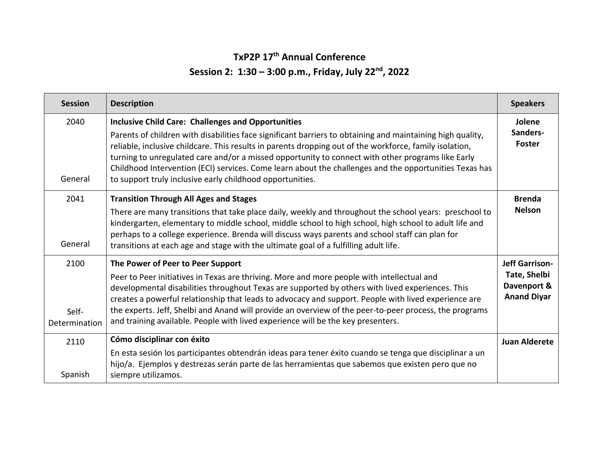#### **TxP2P 17 th Annual Conference**

#### **Session 2: 1:30 – 3:00 p.m., Friday, July 22 nd, 2022**

| <b>Session</b>                 | <b>Description</b>                                                                                                                                                                                                                                                                                                                                                                                                                                                                                                                                             | <b>Speakers</b>                                                            |
|--------------------------------|----------------------------------------------------------------------------------------------------------------------------------------------------------------------------------------------------------------------------------------------------------------------------------------------------------------------------------------------------------------------------------------------------------------------------------------------------------------------------------------------------------------------------------------------------------------|----------------------------------------------------------------------------|
| 2040<br>General                | <b>Inclusive Child Care: Challenges and Opportunities</b><br>Parents of children with disabilities face significant barriers to obtaining and maintaining high quality,<br>reliable, inclusive childcare. This results in parents dropping out of the workforce, family isolation,<br>turning to unregulated care and/or a missed opportunity to connect with other programs like Early<br>Childhood Intervention (ECI) services. Come learn about the challenges and the opportunities Texas has<br>to support truly inclusive early childhood opportunities. | Jolene<br>Sanders-<br><b>Foster</b>                                        |
| 2041<br>General                | <b>Transition Through All Ages and Stages</b><br>There are many transitions that take place daily, weekly and throughout the school years: preschool to<br>kindergarten, elementary to middle school, middle school to high school, high school to adult life and<br>perhaps to a college experience. Brenda will discuss ways parents and school staff can plan for<br>transitions at each age and stage with the ultimate goal of a fulfilling adult life.                                                                                                   | <b>Brenda</b><br><b>Nelson</b>                                             |
| 2100<br>Self-<br>Determination | The Power of Peer to Peer Support<br>Peer to Peer initiatives in Texas are thriving. More and more people with intellectual and<br>developmental disabilities throughout Texas are supported by others with lived experiences. This<br>creates a powerful relationship that leads to advocacy and support. People with lived experience are<br>the experts. Jeff, Shelbi and Anand will provide an overview of the peer-to-peer process, the programs<br>and training available. People with lived experience will be the key presenters.                      | <b>Jeff Garrison-</b><br>Tate, Shelbi<br>Davenport &<br><b>Anand Diyar</b> |
| 2110<br>Spanish                | Cómo disciplinar con éxito<br>En esta sesión los participantes obtendrán ideas para tener éxito cuando se tenga que disciplinar a un<br>hijo/a. Ejemplos y destrezas serán parte de las herramientas que sabemos que existen pero que no<br>siempre utilizamos.                                                                                                                                                                                                                                                                                                | <b>Juan Alderete</b>                                                       |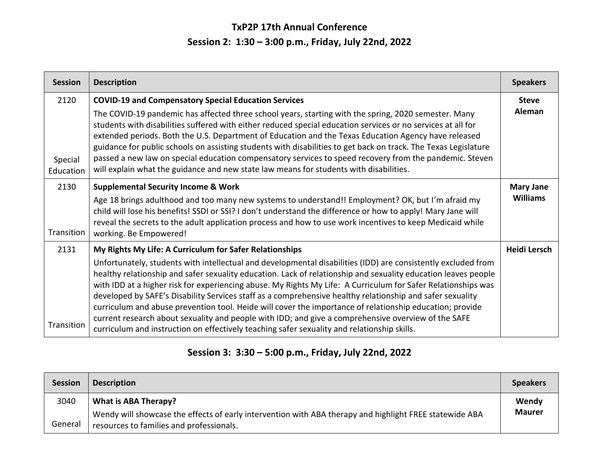## **TxP2P 17th Annual Conference Session 2: 1:30 – 3:00 p.m., Friday, July 22nd, 2022**

| <b>Session</b>               | <b>Description</b>                                                                                                                                                                                                                                                                                                                                                                                                                                                                                                                                                                                                                                                                                                                                                                                                                         | <b>Speakers</b>                     |
|------------------------------|--------------------------------------------------------------------------------------------------------------------------------------------------------------------------------------------------------------------------------------------------------------------------------------------------------------------------------------------------------------------------------------------------------------------------------------------------------------------------------------------------------------------------------------------------------------------------------------------------------------------------------------------------------------------------------------------------------------------------------------------------------------------------------------------------------------------------------------------|-------------------------------------|
| 2120<br>Special<br>Education | <b>COVID-19 and Compensatory Special Education Services</b><br>The COVID-19 pandemic has affected three school years, starting with the spring, 2020 semester. Many<br>students with disabilities suffered with either reduced special education services or no services at all for<br>extended periods. Both the U.S. Department of Education and the Texas Education Agency have released<br>guidance for public schools on assisting students with disabilities to get back on track. The Texas Legislature<br>passed a new law on special education compensatory services to speed recovery from the pandemic. Steven<br>will explain what the guidance and new state law means for students with disabilities.                                                                                                                        | <b>Steve</b><br>Aleman              |
| 2130<br>Transition           | <b>Supplemental Security Income &amp; Work</b><br>Age 18 brings adulthood and too many new systems to understand!! Employment? OK, but I'm afraid my<br>child will lose his benefits! SSDI or SSI? I don't understand the difference or how to apply! Mary Jane will<br>reveal the secrets to the adult application process and how to use work incentives to keep Medicaid while<br>working. Be Empowered!                                                                                                                                                                                                                                                                                                                                                                                                                                | <b>Mary Jane</b><br><b>Williams</b> |
| 2131<br>Transition           | My Rights My Life: A Curriculum for Safer Relationships<br>Unfortunately, students with intellectual and developmental disabilities (IDD) are consistently excluded from<br>healthy relationship and safer sexuality education. Lack of relationship and sexuality education leaves people<br>with IDD at a higher risk for experiencing abuse. My Rights My Life: A Curriculum for Safer Relationships was<br>developed by SAFE's Disability Services staff as a comprehensive healthy relationship and safer sexuality<br>curriculum and abuse prevention tool. Heide will cover the importance of relationship education; provide<br>current research about sexuality and people with IDD; and give a comprehensive overview of the SAFE<br>curriculum and instruction on effectively teaching safer sexuality and relationship skills. | Heidi Lersch                        |

### **Session 3: 3:30 – 5:00 p.m., Friday, July 22nd, 2022**

| <b>Session</b> | <b>Description</b>                                                                                                                                  | <b>Speakers</b> |
|----------------|-----------------------------------------------------------------------------------------------------------------------------------------------------|-----------------|
| 3040           | <b>What is ABA Therapy?</b>                                                                                                                         | Wendy           |
| General        | Wendy will showcase the effects of early intervention with ABA therapy and highlight FREE statewide ABA<br>resources to families and professionals. | <b>Maurer</b>   |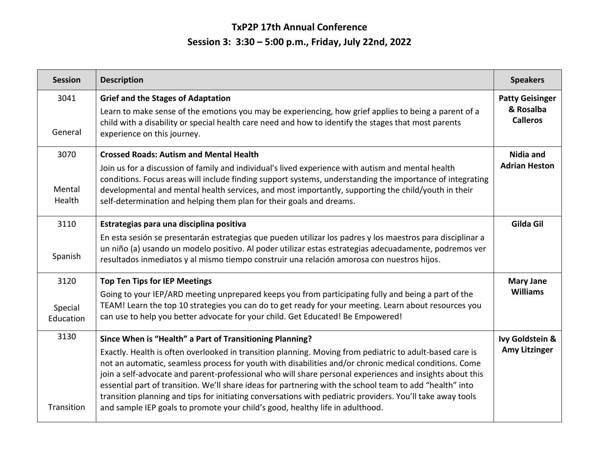# **TxP2P 17th Annual Conference Session 3: 3:30 – 5:00 p.m., Friday, July 22nd, 2022**

| <b>Session</b>               | <b>Description</b>                                                                                                                                                                                                                                                                                                                                                                                                                                                                                                                                                                                                                                                                                    | <b>Speakers</b>                                        |
|------------------------------|-------------------------------------------------------------------------------------------------------------------------------------------------------------------------------------------------------------------------------------------------------------------------------------------------------------------------------------------------------------------------------------------------------------------------------------------------------------------------------------------------------------------------------------------------------------------------------------------------------------------------------------------------------------------------------------------------------|--------------------------------------------------------|
| 3041<br>General              | <b>Grief and the Stages of Adaptation</b><br>Learn to make sense of the emotions you may be experiencing, how grief applies to being a parent of a<br>child with a disability or special health care need and how to identify the stages that most parents<br>experience on this journey.                                                                                                                                                                                                                                                                                                                                                                                                             | <b>Patty Geisinger</b><br>& Rosalba<br><b>Calleros</b> |
| 3070<br>Mental<br>Health     | <b>Crossed Roads: Autism and Mental Health</b><br>Join us for a discussion of family and individual's lived experience with autism and mental health<br>conditions. Focus areas will include finding support systems, understanding the importance of integrating<br>developmental and mental health services, and most importantly, supporting the child/youth in their<br>self-determination and helping them plan for their goals and dreams.                                                                                                                                                                                                                                                      | Nidia and<br><b>Adrian Heston</b>                      |
| 3110<br>Spanish              | Estrategias para una disciplina positiva<br>En esta sesión se presentarán estrategias que pueden utilizar los padres y los maestros para disciplinar a<br>un niño (a) usando un modelo positivo. Al poder utilizar estas estrategias adecuadamente, podremos ver<br>resultados inmediatos y al mismo tiempo construir una relación amorosa con nuestros hijos.                                                                                                                                                                                                                                                                                                                                        | Gilda Gil                                              |
| 3120<br>Special<br>Education | <b>Top Ten Tips for IEP Meetings</b><br>Going to your IEP/ARD meeting unprepared keeps you from participating fully and being a part of the<br>TEAM! Learn the top 10 strategies you can do to get ready for your meeting. Learn about resources you<br>can use to help you better advocate for your child. Get Educated! Be Empowered!                                                                                                                                                                                                                                                                                                                                                               | <b>Mary Jane</b><br><b>Williams</b>                    |
| 3130<br>Transition           | Since When is "Health" a Part of Transitioning Planning?<br>Exactly. Health is often overlooked in transition planning. Moving from pediatric to adult-based care is<br>not an automatic, seamless process for youth with disabilities and/or chronic medical conditions. Come<br>join a self-advocate and parent-professional who will share personal experiences and insights about this<br>essential part of transition. We'll share ideas for partnering with the school team to add "health" into<br>transition planning and tips for initiating conversations with pediatric providers. You'll take away tools<br>and sample IEP goals to promote your child's good, healthy life in adulthood. | Ivy Goldstein &<br><b>Amy Litzinger</b>                |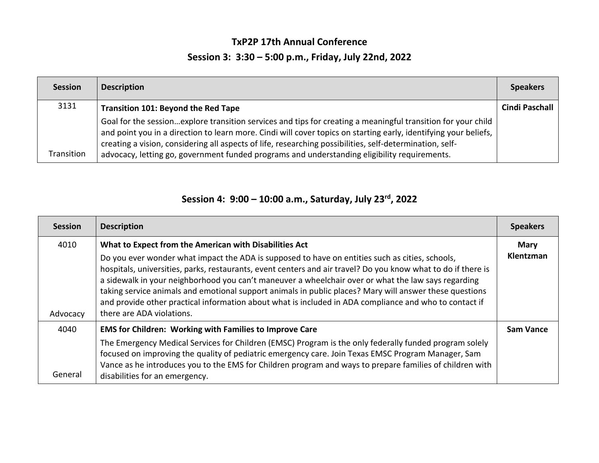## **TxP2P 17th Annual Conference Session 3: 3:30 – 5:00 p.m., Friday, July 22nd, 2022**

| <b>Session</b> | <b>Description</b>                                                                                                                                                                                                                                                                                                                                                                                                                             | <b>Speakers</b>       |
|----------------|------------------------------------------------------------------------------------------------------------------------------------------------------------------------------------------------------------------------------------------------------------------------------------------------------------------------------------------------------------------------------------------------------------------------------------------------|-----------------------|
| 3131           | <b>Transition 101: Beyond the Red Tape</b>                                                                                                                                                                                                                                                                                                                                                                                                     | <b>Cindi Paschall</b> |
| Transition     | Goal for the sessionexplore transition services and tips for creating a meaningful transition for your child<br>and point you in a direction to learn more. Cindi will cover topics on starting early, identifying your beliefs,  <br>creating a vision, considering all aspects of life, researching possibilities, self-determination, self-<br>advocacy, letting go, government funded programs and understanding eligibility requirements. |                       |

#### **Session 4: 9:00 – 10:00 a.m., Saturday, July 23 rd, 2022**

| <b>Session</b> | <b>Description</b>                                                                                                                                                                                                                                                                                                                                                                                                                                                                                                                                                        | <b>Speakers</b>  |
|----------------|---------------------------------------------------------------------------------------------------------------------------------------------------------------------------------------------------------------------------------------------------------------------------------------------------------------------------------------------------------------------------------------------------------------------------------------------------------------------------------------------------------------------------------------------------------------------------|------------------|
| 4010           | What to Expect from the American with Disabilities Act                                                                                                                                                                                                                                                                                                                                                                                                                                                                                                                    | <b>Mary</b>      |
| Advocacy       | Do you ever wonder what impact the ADA is supposed to have on entities such as cities, schools,<br>hospitals, universities, parks, restaurants, event centers and air travel? Do you know what to do if there is<br>a sidewalk in your neighborhood you can't maneuver a wheelchair over or what the law says regarding<br>taking service animals and emotional support animals in public places? Mary will answer these questions<br>and provide other practical information about what is included in ADA compliance and who to contact if<br>there are ADA violations. | Klentzman        |
| 4040           | <b>EMS for Children: Working with Families to Improve Care</b>                                                                                                                                                                                                                                                                                                                                                                                                                                                                                                            | <b>Sam Vance</b> |
| General        | The Emergency Medical Services for Children (EMSC) Program is the only federally funded program solely<br>focused on improving the quality of pediatric emergency care. Join Texas EMSC Program Manager, Sam<br>Vance as he introduces you to the EMS for Children program and ways to prepare families of children with<br>disabilities for an emergency.                                                                                                                                                                                                                |                  |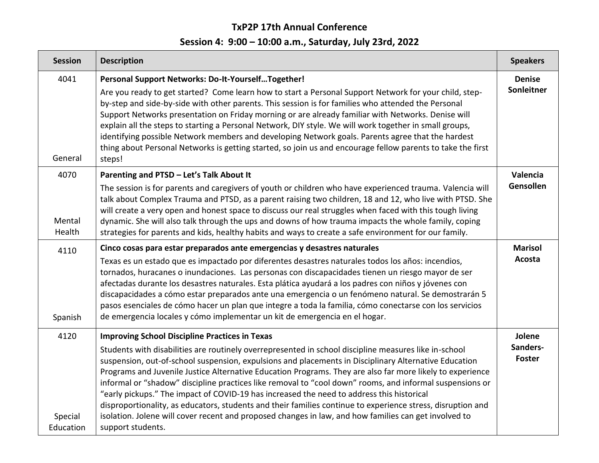### **TxP2P 17th Annual Conference**

# **Session 4: 9:00 – 10:00 a.m., Saturday, July 23rd, 2022**

| <b>Session</b>               | <b>Description</b>                                                                                                                                                                                                                                                                                                                                                                                                                                                                                                                                                                                                                                                                                                                                                                                                                         | <b>Speakers</b>                     |
|------------------------------|--------------------------------------------------------------------------------------------------------------------------------------------------------------------------------------------------------------------------------------------------------------------------------------------------------------------------------------------------------------------------------------------------------------------------------------------------------------------------------------------------------------------------------------------------------------------------------------------------------------------------------------------------------------------------------------------------------------------------------------------------------------------------------------------------------------------------------------------|-------------------------------------|
| 4041<br>General              | Personal Support Networks: Do-It-YourselfTogether!<br>Are you ready to get started? Come learn how to start a Personal Support Network for your child, step-<br>by-step and side-by-side with other parents. This session is for families who attended the Personal<br>Support Networks presentation on Friday morning or are already familiar with Networks. Denise will<br>explain all the steps to starting a Personal Network, DIY style. We will work together in small groups,<br>identifying possible Network members and developing Network goals. Parents agree that the hardest<br>thing about Personal Networks is getting started, so join us and encourage fellow parents to take the first<br>steps!                                                                                                                         | <b>Denise</b><br>Sonleitner         |
| 4070<br>Mental<br>Health     | Parenting and PTSD - Let's Talk About It<br>The session is for parents and caregivers of youth or children who have experienced trauma. Valencia will<br>talk about Complex Trauma and PTSD, as a parent raising two children, 18 and 12, who live with PTSD. She<br>will create a very open and honest space to discuss our real struggles when faced with this tough living<br>dynamic. She will also talk through the ups and downs of how trauma impacts the whole family, coping<br>strategies for parents and kids, healthy habits and ways to create a safe environment for our family.                                                                                                                                                                                                                                             | Valencia<br>Gensollen               |
| 4110<br>Spanish              | Cinco cosas para estar preparados ante emergencias y desastres naturales<br>Texas es un estado que es impactado por diferentes desastres naturales todos los años: incendios,<br>tornados, huracanes o inundaciones. Las personas con discapacidades tienen un riesgo mayor de ser<br>afectadas durante los desastres naturales. Esta plática ayudará a los padres con niños y jóvenes con<br>discapacidades a cómo estar preparados ante una emergencia o un fenómeno natural. Se demostrarán 5<br>pasos esenciales de cómo hacer un plan que integre a toda la familia, cómo conectarse con los servicios<br>de emergencia locales y cómo implementar un kit de emergencia en el hogar.                                                                                                                                                  | <b>Marisol</b><br>Acosta            |
| 4120<br>Special<br>Education | <b>Improving School Discipline Practices in Texas</b><br>Students with disabilities are routinely overrepresented in school discipline measures like in-school<br>suspension, out-of-school suspension, expulsions and placements in Disciplinary Alternative Education<br>Programs and Juvenile Justice Alternative Education Programs. They are also far more likely to experience<br>informal or "shadow" discipline practices like removal to "cool down" rooms, and informal suspensions or<br>"early pickups." The impact of COVID-19 has increased the need to address this historical<br>disproportionality, as educators, students and their families continue to experience stress, disruption and<br>isolation. Jolene will cover recent and proposed changes in law, and how families can get involved to<br>support students. | Jolene<br>Sanders-<br><b>Foster</b> |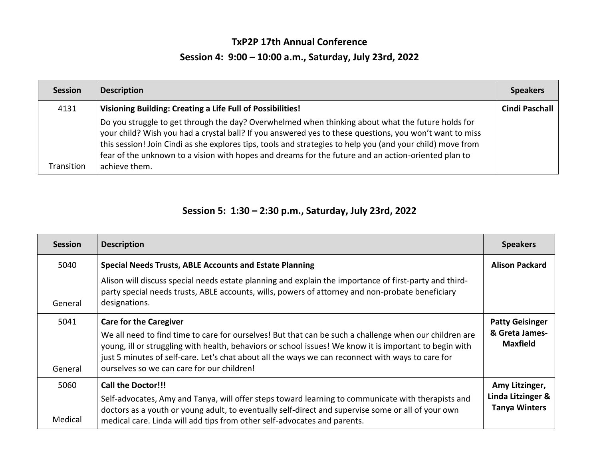## **TxP2P 17th Annual Conference Session 4: 9:00 – 10:00 a.m., Saturday, July 23rd, 2022**

| <b>Session</b> | <b>Description</b>                                                                                                                                                                                                                                                                                                                                                                                                                                 | <b>Speakers</b>       |
|----------------|----------------------------------------------------------------------------------------------------------------------------------------------------------------------------------------------------------------------------------------------------------------------------------------------------------------------------------------------------------------------------------------------------------------------------------------------------|-----------------------|
| 4131           | Visioning Building: Creating a Life Full of Possibilities!                                                                                                                                                                                                                                                                                                                                                                                         | <b>Cindi Paschall</b> |
| Transition     | Do you struggle to get through the day? Overwhelmed when thinking about what the future holds for<br>your child? Wish you had a crystal ball? If you answered yes to these questions, you won't want to miss<br>this session! Join Cindi as she explores tips, tools and strategies to help you (and your child) move from<br>fear of the unknown to a vision with hopes and dreams for the future and an action-oriented plan to<br>achieve them. |                       |

#### **Session 5: 1:30 – 2:30 p.m., Saturday, July 23rd, 2022**

| <b>Session</b>  | <b>Description</b>                                                                                                                                                                                                                                                                                                                                                                                    | <b>Speakers</b>                                             |
|-----------------|-------------------------------------------------------------------------------------------------------------------------------------------------------------------------------------------------------------------------------------------------------------------------------------------------------------------------------------------------------------------------------------------------------|-------------------------------------------------------------|
| 5040            | <b>Special Needs Trusts, ABLE Accounts and Estate Planning</b>                                                                                                                                                                                                                                                                                                                                        | <b>Alison Packard</b>                                       |
| General         | Alison will discuss special needs estate planning and explain the importance of first-party and third-<br>party special needs trusts, ABLE accounts, wills, powers of attorney and non-probate beneficiary<br>designations.                                                                                                                                                                           |                                                             |
| 5041<br>General | <b>Care for the Caregiver</b><br>We all need to find time to care for ourselves! But that can be such a challenge when our children are<br>young, ill or struggling with health, behaviors or school issues! We know it is important to begin with<br>just 5 minutes of self-care. Let's chat about all the ways we can reconnect with ways to care for<br>ourselves so we can care for our children! | <b>Patty Geisinger</b><br>& Greta James-<br><b>Maxfield</b> |
| 5060<br>Medical | <b>Call the Doctor!!!</b><br>Self-advocates, Amy and Tanya, will offer steps toward learning to communicate with therapists and<br>doctors as a youth or young adult, to eventually self-direct and supervise some or all of your own<br>medical care. Linda will add tips from other self-advocates and parents.                                                                                     | Amy Litzinger,<br>Linda Litzinger &<br><b>Tanya Winters</b> |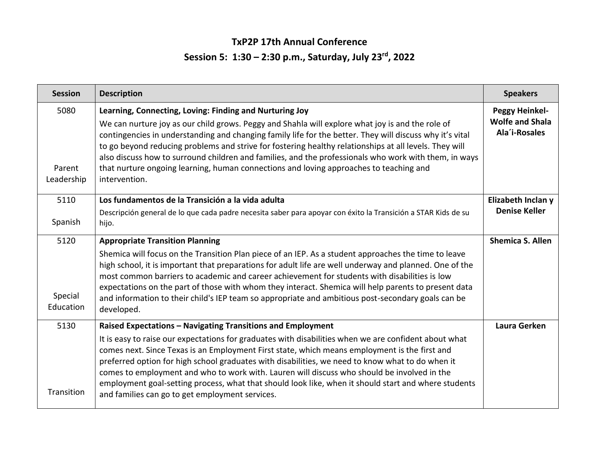## **TxP2P 17th Annual Conference Session 5: 1:30 – 2:30 p.m., Saturday, July 23rd, 2022**

| <b>Session</b>               | <b>Description</b>                                                                                                                                                                                                                                                                                                                                                                                                                                                                                                                                                                                                                  | <b>Speakers</b>                                                  |
|------------------------------|-------------------------------------------------------------------------------------------------------------------------------------------------------------------------------------------------------------------------------------------------------------------------------------------------------------------------------------------------------------------------------------------------------------------------------------------------------------------------------------------------------------------------------------------------------------------------------------------------------------------------------------|------------------------------------------------------------------|
| 5080<br>Parent<br>Leadership | Learning, Connecting, Loving: Finding and Nurturing Joy<br>We can nurture joy as our child grows. Peggy and Shahla will explore what joy is and the role of<br>contingencies in understanding and changing family life for the better. They will discuss why it's vital<br>to go beyond reducing problems and strive for fostering healthy relationships at all levels. They will<br>also discuss how to surround children and families, and the professionals who work with them, in ways<br>that nurture ongoing learning, human connections and loving approaches to teaching and<br>intervention.                               | <b>Peggy Heinkel-</b><br><b>Wolfe and Shala</b><br>Ala'i-Rosales |
| 5110<br>Spanish              | Los fundamentos de la Transición a la vida adulta<br>Descripción general de lo que cada padre necesita saber para apoyar con éxito la Transición a STAR Kids de su<br>hijo.                                                                                                                                                                                                                                                                                                                                                                                                                                                         | Elizabeth Inclan y<br><b>Denise Keller</b>                       |
| 5120<br>Special<br>Education | <b>Appropriate Transition Planning</b><br>Shemica will focus on the Transition Plan piece of an IEP. As a student approaches the time to leave<br>high school, it is important that preparations for adult life are well underway and planned. One of the<br>most common barriers to academic and career achievement for students with disabilities is low<br>expectations on the part of those with whom they interact. Shemica will help parents to present data<br>and information to their child's IEP team so appropriate and ambitious post-secondary goals can be<br>developed.                                              | <b>Shemica S. Allen</b>                                          |
| 5130<br>Transition           | Raised Expectations - Navigating Transitions and Employment<br>It is easy to raise our expectations for graduates with disabilities when we are confident about what<br>comes next. Since Texas is an Employment First state, which means employment is the first and<br>preferred option for high school graduates with disabilities, we need to know what to do when it<br>comes to employment and who to work with. Lauren will discuss who should be involved in the<br>employment goal-setting process, what that should look like, when it should start and where students<br>and families can go to get employment services. | Laura Gerken                                                     |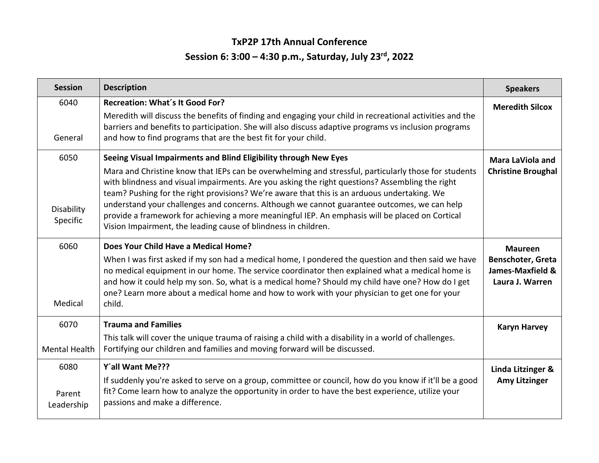## **TxP2P 17th Annual Conference Session 6: 3:00 – 4:30 p.m., Saturday, July 23 rd, 2022**

| <b>Session</b>                 | <b>Description</b>                                                                                                                                                                                                                                                                                                                                                                                                                                                                                                                                                                                                                             | <b>Speakers</b>                                                                   |
|--------------------------------|------------------------------------------------------------------------------------------------------------------------------------------------------------------------------------------------------------------------------------------------------------------------------------------------------------------------------------------------------------------------------------------------------------------------------------------------------------------------------------------------------------------------------------------------------------------------------------------------------------------------------------------------|-----------------------------------------------------------------------------------|
| 6040<br>General                | <b>Recreation: What's It Good For?</b><br>Meredith will discuss the benefits of finding and engaging your child in recreational activities and the<br>barriers and benefits to participation. She will also discuss adaptive programs vs inclusion programs<br>and how to find programs that are the best fit for your child.                                                                                                                                                                                                                                                                                                                  | <b>Meredith Silcox</b>                                                            |
| 6050<br>Disability<br>Specific | Seeing Visual Impairments and Blind Eligibility through New Eyes<br>Mara and Christine know that IEPs can be overwhelming and stressful, particularly those for students<br>with blindness and visual impairments. Are you asking the right questions? Assembling the right<br>team? Pushing for the right provisions? We're aware that this is an arduous undertaking. We<br>understand your challenges and concerns. Although we cannot guarantee outcomes, we can help<br>provide a framework for achieving a more meaningful IEP. An emphasis will be placed on Cortical<br>Vision Impairment, the leading cause of blindness in children. | Mara LaViola and<br><b>Christine Broughal</b>                                     |
| 6060<br>Medical                | Does Your Child Have a Medical Home?<br>When I was first asked if my son had a medical home, I pondered the question and then said we have<br>no medical equipment in our home. The service coordinator then explained what a medical home is<br>and how it could help my son. So, what is a medical home? Should my child have one? How do I get<br>one? Learn more about a medical home and how to work with your physician to get one for your<br>child.                                                                                                                                                                                    | <b>Maureen</b><br><b>Benschoter, Greta</b><br>James-Maxfield &<br>Laura J. Warren |
| 6070<br>Mental Health          | <b>Trauma and Families</b><br>This talk will cover the unique trauma of raising a child with a disability in a world of challenges.<br>Fortifying our children and families and moving forward will be discussed.                                                                                                                                                                                                                                                                                                                                                                                                                              | <b>Karyn Harvey</b>                                                               |
| 6080<br>Parent<br>Leadership   | Y'all Want Me???<br>If suddenly you're asked to serve on a group, committee or council, how do you know if it'll be a good<br>fit? Come learn how to analyze the opportunity in order to have the best experience, utilize your<br>passions and make a difference.                                                                                                                                                                                                                                                                                                                                                                             | Linda Litzinger &<br><b>Amy Litzinger</b>                                         |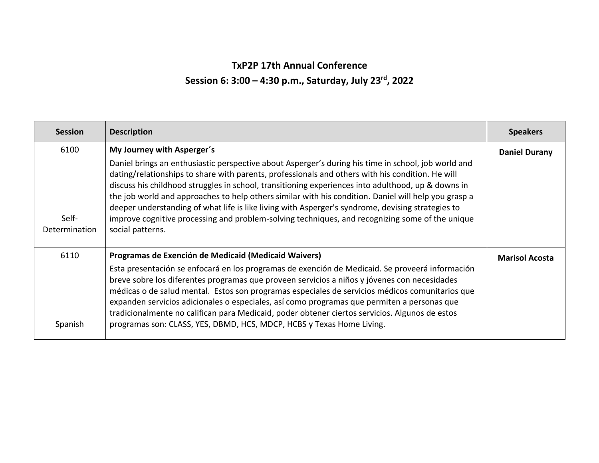# **TxP2P 17th Annual Conference Session 6: 3:00 – 4:30 p.m., Saturday, July 23rd, 2022**

| <b>Session</b>         | <b>Description</b>                                                                                                                                                                                                                                                                                                                                                                                                                                                                                                                                                                                                                                | <b>Speakers</b>       |
|------------------------|---------------------------------------------------------------------------------------------------------------------------------------------------------------------------------------------------------------------------------------------------------------------------------------------------------------------------------------------------------------------------------------------------------------------------------------------------------------------------------------------------------------------------------------------------------------------------------------------------------------------------------------------------|-----------------------|
| 6100                   | My Journey with Asperger's                                                                                                                                                                                                                                                                                                                                                                                                                                                                                                                                                                                                                        | <b>Daniel Durany</b>  |
| Self-<br>Determination | Daniel brings an enthusiastic perspective about Asperger's during his time in school, job world and<br>dating/relationships to share with parents, professionals and others with his condition. He will<br>discuss his childhood struggles in school, transitioning experiences into adulthood, up & downs in<br>the job world and approaches to help others similar with his condition. Daniel will help you grasp a<br>deeper understanding of what life is like living with Asperger's syndrome, devising strategies to<br>improve cognitive processing and problem-solving techniques, and recognizing some of the unique<br>social patterns. |                       |
| 6110<br>Spanish        | Programas de Exención de Medicaid (Medicaid Waivers)<br>Esta presentación se enfocará en los programas de exención de Medicaid. Se proveerá información<br>breve sobre los diferentes programas que proveen servicios a niños y jóvenes con necesidades<br>médicas o de salud mental. Estos son programas especiales de servicios médicos comunitarios que<br>expanden servicios adicionales o especiales, así como programas que permiten a personas que<br>tradicionalmente no califican para Medicaid, poder obtener ciertos servicios. Algunos de estos<br>programas son: CLASS, YES, DBMD, HCS, MDCP, HCBS y Texas Home Living.              | <b>Marisol Acosta</b> |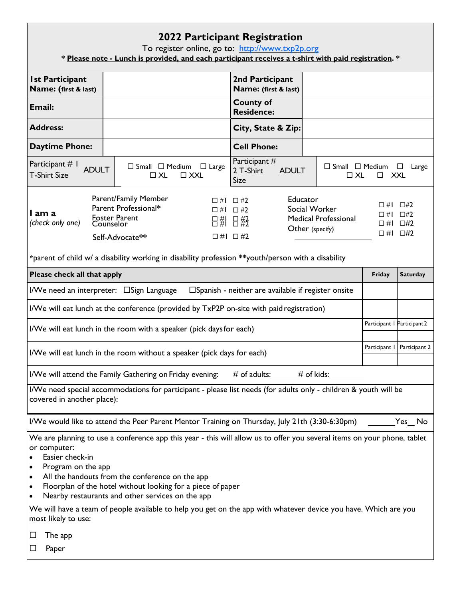### **2022 Participant Registration**

To register online, go to: <u>[http://www.txp2p.org](http://www.txp2p.org/)</u>

**\* Please note - Lunch is provided, and each participant receives a t-shirt with paid registration. \***

| <b>Ist Participant</b><br>Name: (first & last)                                                                                                                                                                                                                                                                                                                                                                                                                                                                                     |                                                                                                | 2nd Participant<br>Name: (first & last)                      |                                                      |                             |                 |  |  |
|------------------------------------------------------------------------------------------------------------------------------------------------------------------------------------------------------------------------------------------------------------------------------------------------------------------------------------------------------------------------------------------------------------------------------------------------------------------------------------------------------------------------------------|------------------------------------------------------------------------------------------------|--------------------------------------------------------------|------------------------------------------------------|-----------------------------|-----------------|--|--|
| Email:                                                                                                                                                                                                                                                                                                                                                                                                                                                                                                                             |                                                                                                | <b>County of</b><br><b>Residence:</b>                        |                                                      |                             |                 |  |  |
| <b>Address:</b>                                                                                                                                                                                                                                                                                                                                                                                                                                                                                                                    |                                                                                                | City, State & Zip:                                           |                                                      |                             |                 |  |  |
| <b>Daytime Phone:</b>                                                                                                                                                                                                                                                                                                                                                                                                                                                                                                              |                                                                                                | <b>Cell Phone:</b>                                           |                                                      |                             |                 |  |  |
| Participant # 1<br><b>ADULT</b><br><b>T-Shirt Size</b>                                                                                                                                                                                                                                                                                                                                                                                                                                                                             | $\Box$ Small $\Box$ Medium $\Box$ Large<br>$\Box$ XL<br>$\Box$ XXL                             | Participant #<br>2 T-Shirt<br><b>ADULT</b><br><b>Size</b>    | $\Box$ Small $\Box$ Medium $\Box$ Large<br>$\Box$ XL | <b>XXL</b><br>$\Box$        |                 |  |  |
| Parent/Family Member<br>Educator<br>$\Box$ #1 $\Box$ #2<br>□ #Ⅰ □#2<br>Parent Professional*<br>Social Worker<br>$\Box$ #1 $\Box$ #2<br>I am a<br>$\Box$ #2<br>$\Box$ # $\Box$<br><b>Foster Parent</b><br><b>Medical Professional</b><br>日# 日#2<br>(check only one)<br>$\Box$ #1 $\Box$ #2<br>Counselor<br>Other (specify)<br>$\Box$ #1 $\Box$ #2<br>$\Box$ #1 $\Box$ #2<br>Self-Advocate**<br>*parent of child w/ a disability working in disability profession **youth/person with a disability                                   |                                                                                                |                                                              |                                                      |                             |                 |  |  |
| Please check all that apply                                                                                                                                                                                                                                                                                                                                                                                                                                                                                                        |                                                                                                |                                                              |                                                      | Friday                      | <b>Saturday</b> |  |  |
|                                                                                                                                                                                                                                                                                                                                                                                                                                                                                                                                    | I/We need an interpreter: □ Sign Language                                                      | $\square$ Spanish - neither are available if register onsite |                                                      |                             |                 |  |  |
|                                                                                                                                                                                                                                                                                                                                                                                                                                                                                                                                    | I/We will eat lunch at the conference (provided by TxP2P on-site with paid registration)       |                                                              |                                                      |                             |                 |  |  |
|                                                                                                                                                                                                                                                                                                                                                                                                                                                                                                                                    | I/We will eat lunch in the room with a speaker (pick days for each)                            |                                                              |                                                      | Participant   Participant 2 |                 |  |  |
|                                                                                                                                                                                                                                                                                                                                                                                                                                                                                                                                    | I/We will eat lunch in the room without a speaker (pick days for each)                         |                                                              |                                                      | Participant I               | Participant 2   |  |  |
|                                                                                                                                                                                                                                                                                                                                                                                                                                                                                                                                    | I/We will attend the Family Gathering on Friday evening:                                       | # of adults: ______# of kids: _____                          |                                                      |                             |                 |  |  |
| I/We need special accommodations for participant - please list needs (for adults only - children & youth will be<br>covered in another place):                                                                                                                                                                                                                                                                                                                                                                                     |                                                                                                |                                                              |                                                      |                             |                 |  |  |
|                                                                                                                                                                                                                                                                                                                                                                                                                                                                                                                                    | I/We would like to attend the Peer Parent Mentor Training on Thursday, July 21th (3:30-6:30pm) |                                                              |                                                      |                             | Yes No          |  |  |
| We are planning to use a conference app this year - this will allow us to offer you several items on your phone, tablet<br>or computer:<br>Easier check-in<br>Program on the app<br>All the handouts from the conference on the app<br>$\bullet$<br>Floorplan of the hotel without looking for a piece of paper<br>٠<br>Nearby restaurants and other services on the app<br>We will have a team of people available to help you get on the app with whatever device you have. Which are you<br>most likely to use:<br>The app<br>ப |                                                                                                |                                                              |                                                      |                             |                 |  |  |
| Paper                                                                                                                                                                                                                                                                                                                                                                                                                                                                                                                              |                                                                                                |                                                              |                                                      |                             |                 |  |  |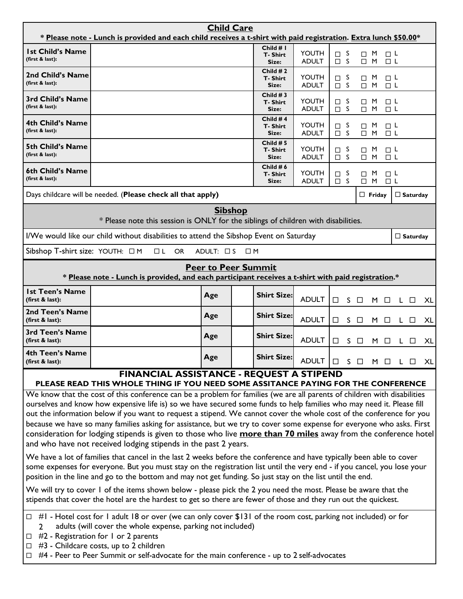| <b>Child Care</b><br>* Please note - Lunch is provided and each child receives a t-shirt with paid registration. Extra lunch \$50.00*                                                                                                                                                                                                                                                                                                                                                                                                                                                                                                                                                           |                                                                                                                               |                            |                                        |                              |                         |                            |                               |                 |    |
|-------------------------------------------------------------------------------------------------------------------------------------------------------------------------------------------------------------------------------------------------------------------------------------------------------------------------------------------------------------------------------------------------------------------------------------------------------------------------------------------------------------------------------------------------------------------------------------------------------------------------------------------------------------------------------------------------|-------------------------------------------------------------------------------------------------------------------------------|----------------------------|----------------------------------------|------------------------------|-------------------------|----------------------------|-------------------------------|-----------------|----|
| <b>Ist Child's Name</b><br>(first & last):                                                                                                                                                                                                                                                                                                                                                                                                                                                                                                                                                                                                                                                      |                                                                                                                               |                            | Child $# I$<br>T-Shirt<br>Size:        | <b>YOUTH</b><br><b>ADULT</b> | $\Box$ S<br>$\square$ S | $\Box$ M<br>$\Box$ M       | $\square$ $\sf L$<br>$\Box$ L |                 |    |
| 2nd Child's Name<br>(first & last):                                                                                                                                                                                                                                                                                                                                                                                                                                                                                                                                                                                                                                                             |                                                                                                                               |                            | Child $#2$<br><b>T-Shirt</b><br>Size:  | YOUTH<br><b>ADULT</b>        | $\Box$ S<br>$\square$ S | M<br>$\Box$<br>$\Box$ M    | □└<br>$\Box$ L                |                 |    |
| 3rd Child's Name<br>(first & last):                                                                                                                                                                                                                                                                                                                                                                                                                                                                                                                                                                                                                                                             |                                                                                                                               |                            | Child $#3$<br><b>T-Shirt</b><br>Size:  | <b>YOUTH</b><br><b>ADULT</b> | $\Box$ S<br>$\Box$ S    | M<br>□<br>$\Box$ M         | $\Box$ L<br>$\Box$ L          |                 |    |
| 4th Child's Name<br>(first & last):                                                                                                                                                                                                                                                                                                                                                                                                                                                                                                                                                                                                                                                             |                                                                                                                               |                            | Child #4<br><b>T-Shirt</b><br>Size:    | <b>YOUTH</b><br><b>ADULT</b> | $\Box$ s<br>$\Box$ S    | M<br>□<br>$\Box$ M         | ⊡ ∟<br>$\Box$ L               |                 |    |
| <b>5th Child's Name</b><br>(first & last):                                                                                                                                                                                                                                                                                                                                                                                                                                                                                                                                                                                                                                                      |                                                                                                                               |                            | Child $# 5$<br><b>T-Shirt</b><br>Size: | YOUTH<br><b>ADULT</b>        | $\Box$ S<br>$\Box$ S    | M<br>$\Box$<br>$\Box$<br>M | □└<br>$\Box$ L                |                 |    |
| 6th Child's Name<br>(first & last):                                                                                                                                                                                                                                                                                                                                                                                                                                                                                                                                                                                                                                                             |                                                                                                                               |                            | Child # $6$<br><b>T-Shirt</b><br>Size: | <b>YOUTH</b><br><b>ADULT</b> | $\Box$ S<br>$\square$ S | M<br>□<br>M<br>$\Box$      | □└<br>$\Box$ L                |                 |    |
|                                                                                                                                                                                                                                                                                                                                                                                                                                                                                                                                                                                                                                                                                                 | Days childcare will be needed. (Please check all that apply)                                                                  |                            |                                        |                              |                         | $\Box$ Friday              |                               | $\Box$ Saturday |    |
|                                                                                                                                                                                                                                                                                                                                                                                                                                                                                                                                                                                                                                                                                                 | * Please note this session is ONLY for the siblings of children with disabilities.                                            | <b>Sibshop</b>             |                                        |                              |                         |                            |                               |                 |    |
|                                                                                                                                                                                                                                                                                                                                                                                                                                                                                                                                                                                                                                                                                                 | I/We would like our child without disabilities to attend the Sibshop Event on Saturday                                        |                            |                                        |                              |                         |                            |                               | $\Box$ Saturday |    |
| Sibshop T-shirt size: YOUTH: $\Box$ M                                                                                                                                                                                                                                                                                                                                                                                                                                                                                                                                                                                                                                                           | $\Box$ L<br><b>OR</b>                                                                                                         | ADULT: □ S                 | $\Box$ M                               |                              |                         |                            |                               |                 |    |
|                                                                                                                                                                                                                                                                                                                                                                                                                                                                                                                                                                                                                                                                                                 | * Please note - Lunch is provided, and each participant receives a t-shirt with paid registration.*                           | <b>Peer to Peer Summit</b> |                                        |                              |                         |                            |                               |                 |    |
| <b>Ist Teen's Name</b><br>(first & last):                                                                                                                                                                                                                                                                                                                                                                                                                                                                                                                                                                                                                                                       |                                                                                                                               | Age                        | <b>Shirt Size:</b>                     | <b>ADULT</b>                 | <sub>S</sub><br>$\Box$  | $\Box$<br>M                | □                             | L.<br>□         | XL |
| 2nd Teen's Name<br>(first & last):                                                                                                                                                                                                                                                                                                                                                                                                                                                                                                                                                                                                                                                              |                                                                                                                               | Age                        | <b>Shirt Size:</b>                     | <b>ADULT</b>                 | $S_{\perp}$<br>$\Box$   | $\Box$                     | M O                           | L O             | XL |
| 3rd Teen's Name<br>(first & last):                                                                                                                                                                                                                                                                                                                                                                                                                                                                                                                                                                                                                                                              |                                                                                                                               | Age                        | <b>Shirt Size:</b>                     | <b>ADULT</b>                 | S.<br>□                 | $\Box$<br>M                | □                             | L.<br>□         | XL |
| 4th Teen's Name<br>(first & last):                                                                                                                                                                                                                                                                                                                                                                                                                                                                                                                                                                                                                                                              |                                                                                                                               | Age                        | <b>Shirt Size:</b>                     | ADULT                        | $\Box$                  | S O M O L                  |                               | $\Box$          | XL |
|                                                                                                                                                                                                                                                                                                                                                                                                                                                                                                                                                                                                                                                                                                 | FINANCIAL ASSISTANCE - REQUEST A STIPEND<br>PLEASE READ THIS WHOLE THING IF YOU NEED SOME ASSITANCE PAYING FOR THE CONFERENCE |                            |                                        |                              |                         |                            |                               |                 |    |
| We know that the cost of this conference can be a problem for families (we are all parents of children with disabilities<br>ourselves and know how expensive life is) so we have secured some funds to help families who may need it. Please fill<br>out the information below if you want to request a stipend. We cannot cover the whole cost of the conference for you<br>because we have so many families asking for assistance, but we try to cover some expense for everyone who asks. First<br>consideration for lodging stipends is given to those who live <b>more than 70 miles</b> away from the conference hotel<br>and who have not received lodging stipends in the past 2 years. |                                                                                                                               |                            |                                        |                              |                         |                            |                               |                 |    |
| We have a lot of families that cancel in the last 2 weeks before the conference and have typically been able to cover<br>some expenses for everyone. But you must stay on the registration list until the very end - if you cancel, you lose your<br>position in the line and go to the bottom and may not get funding. So just stay on the list until the end.<br>We will try to cover 1 of the items shown below - please pick the 2 you need the most. Please be aware that the<br>stipends that cover the hotel are the hardest to get so there are fewer of those and they run out the quickest.                                                                                           |                                                                                                                               |                            |                                        |                              |                         |                            |                               |                 |    |
| #1 - Hotel cost for 1 adult 18 or over (we can only cover \$131 of the room cost, parking not included) or for<br>$\Box$<br>adults (will cover the whole expense, parking not included)<br>2<br>$\Box$ #2 - Registration for 1 or 2 parents<br>$\Box$ #3 - Childcare costs, up to 2 children<br>$\Box$ #4 - Peer to Peer Summit or self-advocate for the main conference - up to 2 self-advocates                                                                                                                                                                                                                                                                                               |                                                                                                                               |                            |                                        |                              |                         |                            |                               |                 |    |